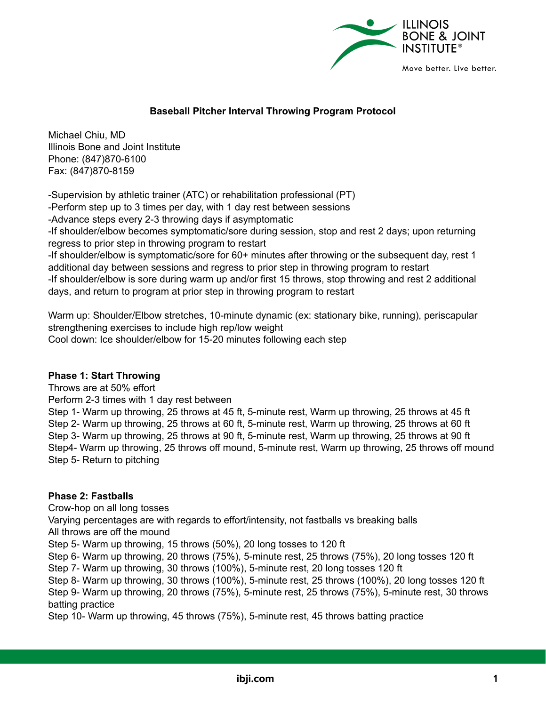

## **Baseball Pitcher Interval Throwing Program Protocol**

Michael Chiu, MD Illinois Bone and Joint Institute Phone: (847)870-6100 Fax: (847)870-8159

-Supervision by athletic trainer (ATC) or rehabilitation professional (PT) -Perform step up to 3 times per day, with 1 day rest between sessions -Advance steps every 2-3 throwing days if asymptomatic -If shoulder/elbow becomes symptomatic/sore during session, stop and rest 2 days; upon returning regress to prior step in throwing program to restart -If shoulder/elbow is symptomatic/sore for 60+ minutes after throwing or the subsequent day, rest 1 additional day between sessions and regress to prior step in throwing program to restart -If shoulder/elbow is sore during warm up and/or first 15 throws, stop throwing and rest 2 additional days, and return to program at prior step in throwing program to restart

Warm up: Shoulder/Elbow stretches, 10-minute dynamic (ex: stationary bike, running), periscapular strengthening exercises to include high rep/low weight Cool down: Ice shoulder/elbow for 15-20 minutes following each step

## **Phase 1: Start Throwing**

Throws are at 50% effort Perform 2-3 times with 1 day rest between Step 1- Warm up throwing, 25 throws at 45 ft, 5-minute rest, Warm up throwing, 25 throws at 45 ft Step 2- Warm up throwing, 25 throws at 60 ft, 5-minute rest, Warm up throwing, 25 throws at 60 ft Step 3- Warm up throwing, 25 throws at 90 ft, 5-minute rest, Warm up throwing, 25 throws at 90 ft Step4- Warm up throwing, 25 throws off mound, 5-minute rest, Warm up throwing, 25 throws off mound Step 5- Return to pitching

## **Phase 2: Fastballs**

Crow-hop on all long tosses Varying percentages are with regards to effort/intensity, not fastballs vs breaking balls All throws are off the mound Step 5- Warm up throwing, 15 throws (50%), 20 long tosses to 120 ft Step 6- Warm up throwing, 20 throws (75%), 5-minute rest, 25 throws (75%), 20 long tosses 120 ft Step 7- Warm up throwing, 30 throws (100%), 5-minute rest, 20 long tosses 120 ft Step 8- Warm up throwing, 30 throws (100%), 5-minute rest, 25 throws (100%), 20 long tosses 120 ft Step 9- Warm up throwing, 20 throws (75%), 5-minute rest, 25 throws (75%), 5-minute rest, 30 throws batting practice

Step 10- Warm up throwing, 45 throws (75%), 5-minute rest, 45 throws batting practice